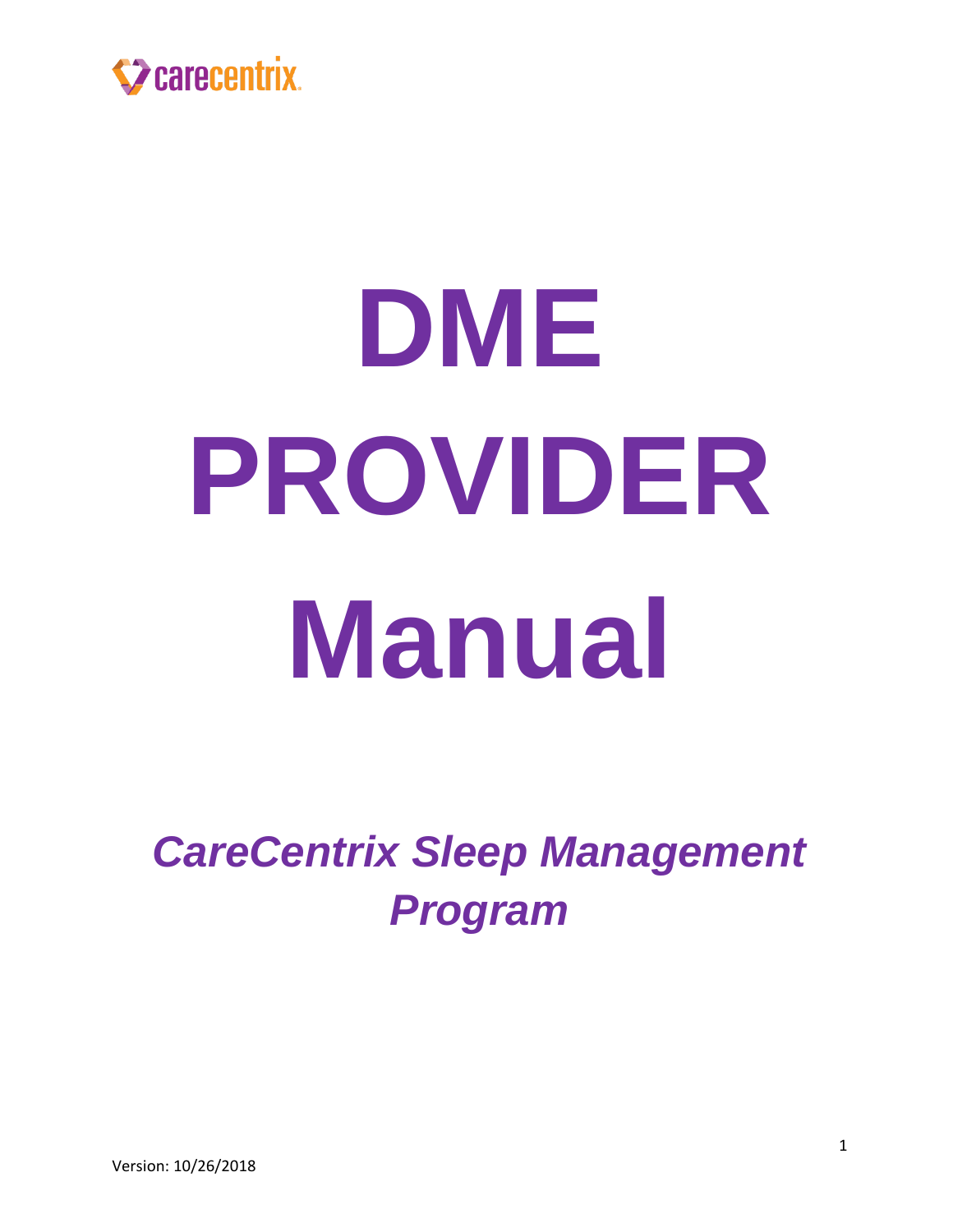

# **DME PROVIDER Manual**

*CareCentrix Sleep Management Program*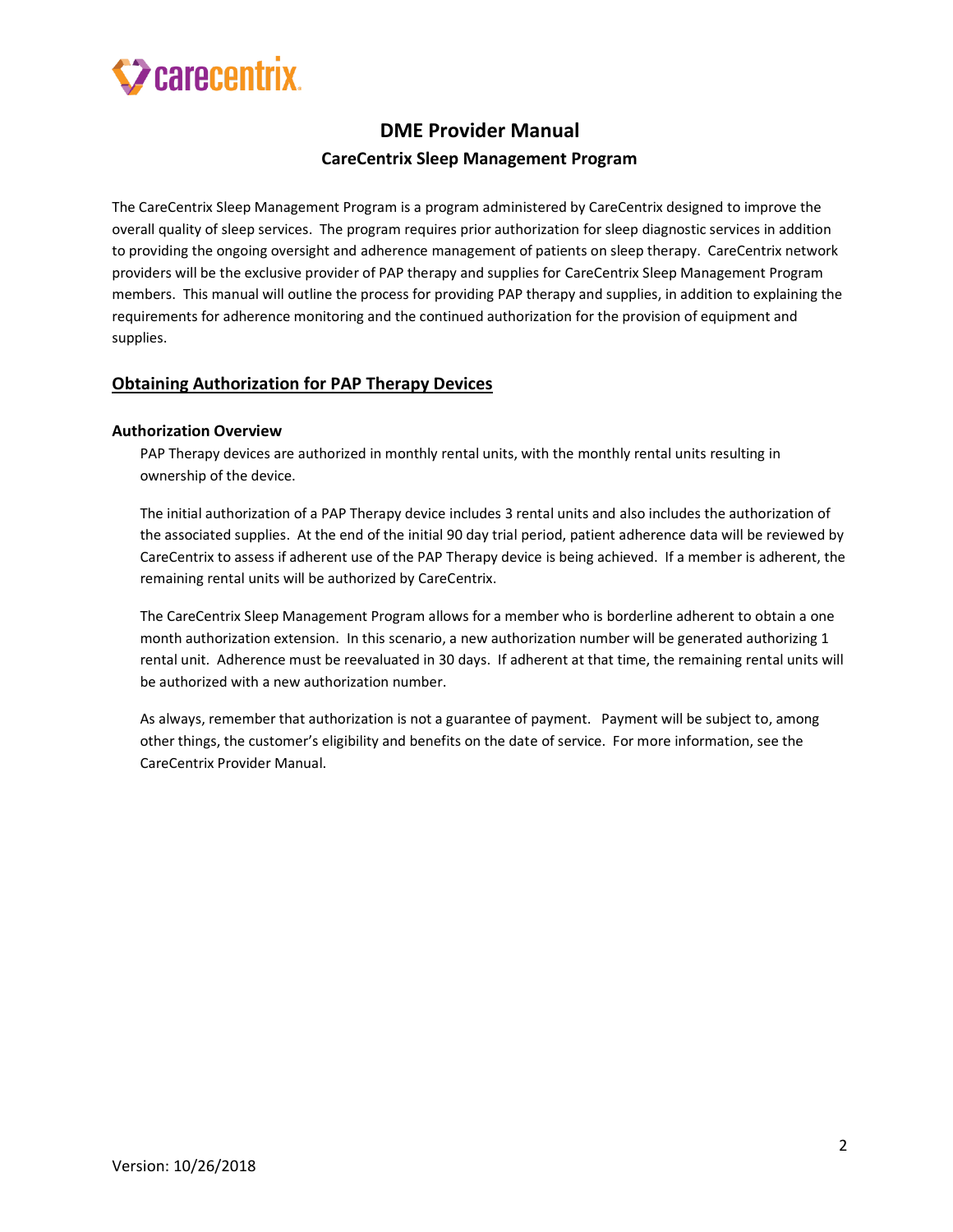

# **DME Provider Manual CareCentrix Sleep Management Program**

The CareCentrix Sleep Management Program is a program administered by CareCentrix designed to improve the overall quality of sleep services. The program requires prior authorization for sleep diagnostic services in addition to providing the ongoing oversight and adherence management of patients on sleep therapy. CareCentrix network providers will be the exclusive provider of PAP therapy and supplies for CareCentrix Sleep Management Program members. This manual will outline the process for providing PAP therapy and supplies, in addition to explaining the requirements for adherence monitoring and the continued authorization for the provision of equipment and supplies.

## **Obtaining Authorization for PAP Therapy Devices**

#### **Authorization Overview**

PAP Therapy devices are authorized in monthly rental units, with the monthly rental units resulting in ownership of the device.

The initial authorization of a PAP Therapy device includes 3 rental units and also includes the authorization of the associated supplies. At the end of the initial 90 day trial period, patient adherence data will be reviewed by CareCentrix to assess if adherent use of the PAP Therapy device is being achieved. If a member is adherent, the remaining rental units will be authorized by CareCentrix.

The CareCentrix Sleep Management Program allows for a member who is borderline adherent to obtain a one month authorization extension. In this scenario, a new authorization number will be generated authorizing 1 rental unit. Adherence must be reevaluated in 30 days. If adherent at that time, the remaining rental units will be authorized with a new authorization number.

As always, remember that authorization is not a guarantee of payment. Payment will be subject to, among other things, the customer's eligibility and benefits on the date of service. For more information, see the CareCentrix Provider Manual.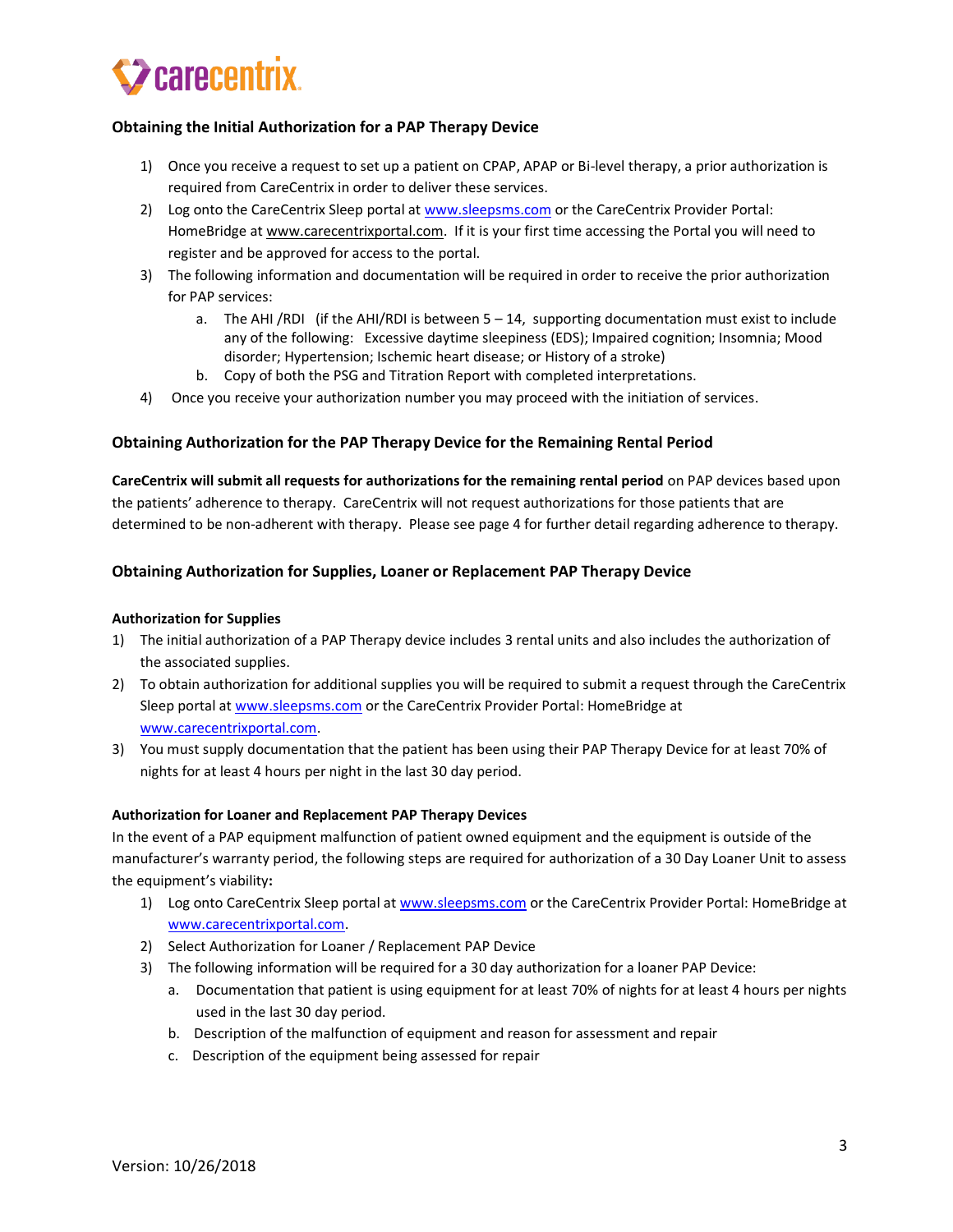

#### **Obtaining the Initial Authorization for a PAP Therapy Device**

- 1) Once you receive a request to set up a patient on CPAP, APAP or Bi-level therapy, a prior authorization is required from CareCentrix in order to deliver these services.
- 2) Log onto the CareCentrix Sleep portal at [www.sleepsms.com](http://www.sleepsms.com/) or the CareCentrix Provider Portal: HomeBridge at [www.carecentrixportal.com.](http://www.carecentrixportal.com/) If it is your first time accessing the Portal you will need to register and be approved for access to the portal.
- 3) The following information and documentation will be required in order to receive the prior authorization for PAP services:
	- a. The AHI /RDI (if the AHI/RDI is between  $5 14$ , supporting documentation must exist to include any of the following: Excessive daytime sleepiness (EDS); Impaired cognition; Insomnia; Mood disorder; Hypertension; Ischemic heart disease; or History of a stroke)
	- b. Copy of both the PSG and Titration Report with completed interpretations.
- 4) Once you receive your authorization number you may proceed with the initiation of services.

#### **Obtaining Authorization for the PAP Therapy Device for the Remaining Rental Period**

**CareCentrix will submit all requests for authorizations for the remaining rental period** on PAP devices based upon the patients' adherence to therapy. CareCentrix will not request authorizations for those patients that are determined to be non-adherent with therapy. Please see page 4 for further detail regarding adherence to therapy.

#### **Obtaining Authorization for Supplies, Loaner or Replacement PAP Therapy Device**

#### **Authorization for Supplies**

- 1) The initial authorization of a PAP Therapy device includes 3 rental units and also includes the authorization of the associated supplies.
- 2) To obtain authorization for additional supplies you will be required to submit a request through the CareCentrix Sleep portal at [www.sleepsms.com](http://www.sleepsms.com/) or the CareCentrix Provider Portal: HomeBridge at [www.carecentrixportal.com.](http://www.carecentrixportal.com/)
- 3) You must supply documentation that the patient has been using their PAP Therapy Device for at least 70% of nights for at least 4 hours per night in the last 30 day period.

#### **Authorization for Loaner and Replacement PAP Therapy Devices**

In the event of a PAP equipment malfunction of patient owned equipment and the equipment is outside of the manufacturer's warranty period, the following steps are required for authorization of a 30 Day Loaner Unit to assess the equipment's viability**:**

- 1) Log onto CareCentrix Sleep portal at [www.sleepsms.com](http://www.sleepsms.com/) or the CareCentrix Provider Portal: HomeBridge at [www.carecentrixportal.com.](http://www.carecentrixportal.com/)
- 2) Select Authorization for Loaner / Replacement PAP Device
- 3) The following information will be required for a 30 day authorization for a loaner PAP Device:
	- a. Documentation that patient is using equipment for at least 70% of nights for at least 4 hours per nights used in the last 30 day period.
	- b. Description of the malfunction of equipment and reason for assessment and repair
	- c. Description of the equipment being assessed for repair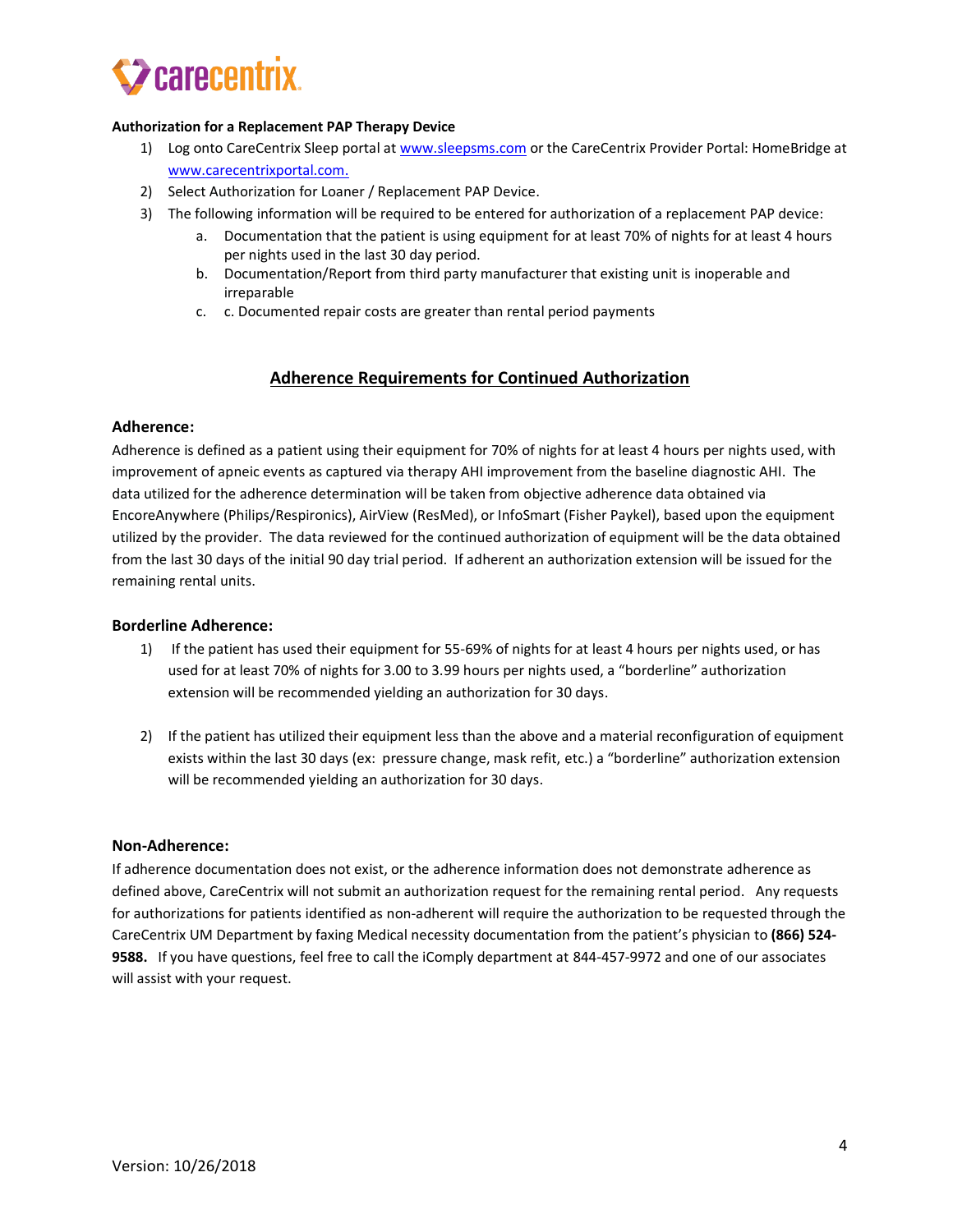

#### **Authorization for a Replacement PAP Therapy Device**

- 1) Log onto CareCentrix Sleep portal at [www.sleepsms.com](http://www.sleepsms.com/) or the CareCentrix Provider Portal: HomeBridge at [www.carecentrixportal.com.](http://www.carecentrixportal.com/)
- 2) Select Authorization for Loaner / Replacement PAP Device.
- 3) The following information will be required to be entered for authorization of a replacement PAP device:
	- a. Documentation that the patient is using equipment for at least 70% of nights for at least 4 hours per nights used in the last 30 day period.
	- b. Documentation/Report from third party manufacturer that existing unit is inoperable and irreparable
	- c. c. Documented repair costs are greater than rental period payments

## **Adherence Requirements for Continued Authorization**

#### **Adherence:**

Adherence is defined as a patient using their equipment for 70% of nights for at least 4 hours per nights used, with improvement of apneic events as captured via therapy AHI improvement from the baseline diagnostic AHI. The data utilized for the adherence determination will be taken from objective adherence data obtained via EncoreAnywhere (Philips/Respironics), AirView (ResMed), or InfoSmart (Fisher Paykel), based upon the equipment utilized by the provider. The data reviewed for the continued authorization of equipment will be the data obtained from the last 30 days of the initial 90 day trial period. If adherent an authorization extension will be issued for the remaining rental units.

#### **Borderline Adherence:**

- 1) If the patient has used their equipment for 55-69% of nights for at least 4 hours per nights used, or has used for at least 70% of nights for 3.00 to 3.99 hours per nights used, a "borderline" authorization extension will be recommended yielding an authorization for 30 days.
- 2) If the patient has utilized their equipment less than the above and a material reconfiguration of equipment exists within the last 30 days (ex: pressure change, mask refit, etc.) a "borderline" authorization extension will be recommended yielding an authorization for 30 days.

#### **Non-Adherence:**

If adherence documentation does not exist, or the adherence information does not demonstrate adherence as defined above, CareCentrix will not submit an authorization request for the remaining rental period. Any requests for authorizations for patients identified as non-adherent will require the authorization to be requested through the CareCentrix UM Department by faxing Medical necessity documentation from the patient's physician to **(866) 524- 9588.** If you have questions, feel free to call the iComply department at 844-457-9972 and one of our associates will assist with your request.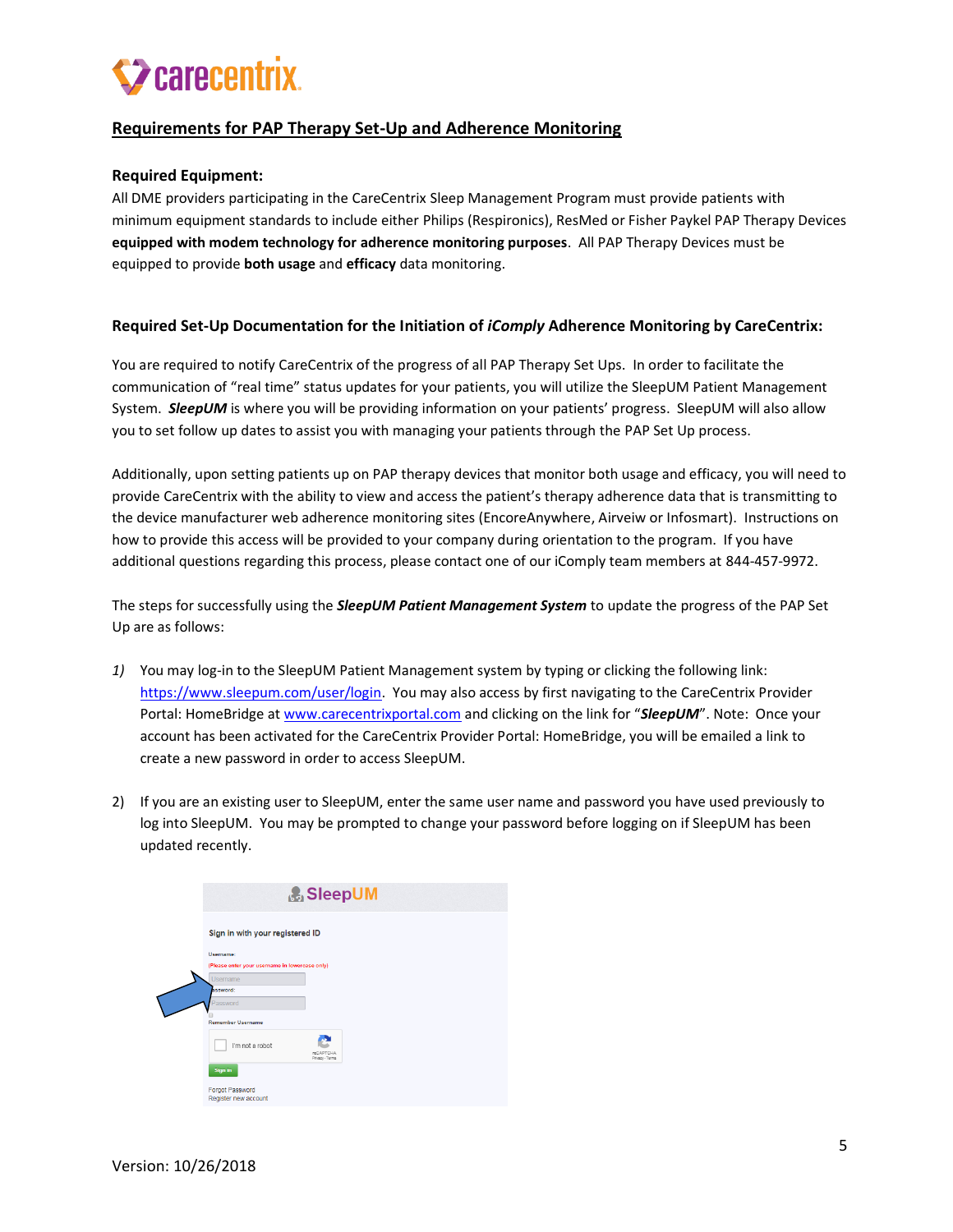# carecentrix

# **Requirements for PAP Therapy Set-Up and Adherence Monitoring**

### **Required Equipment:**

All DME providers participating in the CareCentrix Sleep Management Program must provide patients with minimum equipment standards to include either Philips (Respironics), ResMed or Fisher Paykel PAP Therapy Devices **equipped with modem technology for adherence monitoring purposes**. All PAP Therapy Devices must be equipped to provide **both usage** and **efficacy** data monitoring.

#### **Required Set-Up Documentation for the Initiation of** *iComply* **Adherence Monitoring by CareCentrix:**

You are required to notify CareCentrix of the progress of all PAP Therapy Set Ups. In order to facilitate the communication of "real time" status updates for your patients, you will utilize the SleepUM Patient Management System. *SleepUM* is where you will be providing information on your patients' progress. SleepUM will also allow you to set follow up dates to assist you with managing your patients through the PAP Set Up process.

Additionally, upon setting patients up on PAP therapy devices that monitor both usage and efficacy, you will need to provide CareCentrix with the ability to view and access the patient's therapy adherence data that is transmitting to the device manufacturer web adherence monitoring sites (EncoreAnywhere, Airveiw or Infosmart). Instructions on how to provide this access will be provided to your company during orientation to the program. If you have additional questions regarding this process, please contact one of our iComply team members at 844-457-9972.

The steps for successfully using the *SleepUM Patient Management System* to update the progress of the PAP Set Up are as follows:

- *1)* You may log-in to the SleepUM Patient Management system by typing or clicking the following link: [https://www.sleepum.com/user/login.](https://www.sleepum.com/user/login) You may also access by first navigating to the CareCentrix Provider Portal: HomeBridge a[t www.carecentrixportal.com](http://www.carecentrixportal.com/) and clicking on the link for "*SleepUM*". Note: Once your account has been activated for the CareCentrix Provider Portal: HomeBridge, you will be emailed a link to create a new password in order to access SleepUM.
- 2) If you are an existing user to SleepUM, enter the same user name and password you have used previously to log into SleepUM. You may be prompted to change your password before logging on if SleepUM has been updated recently.

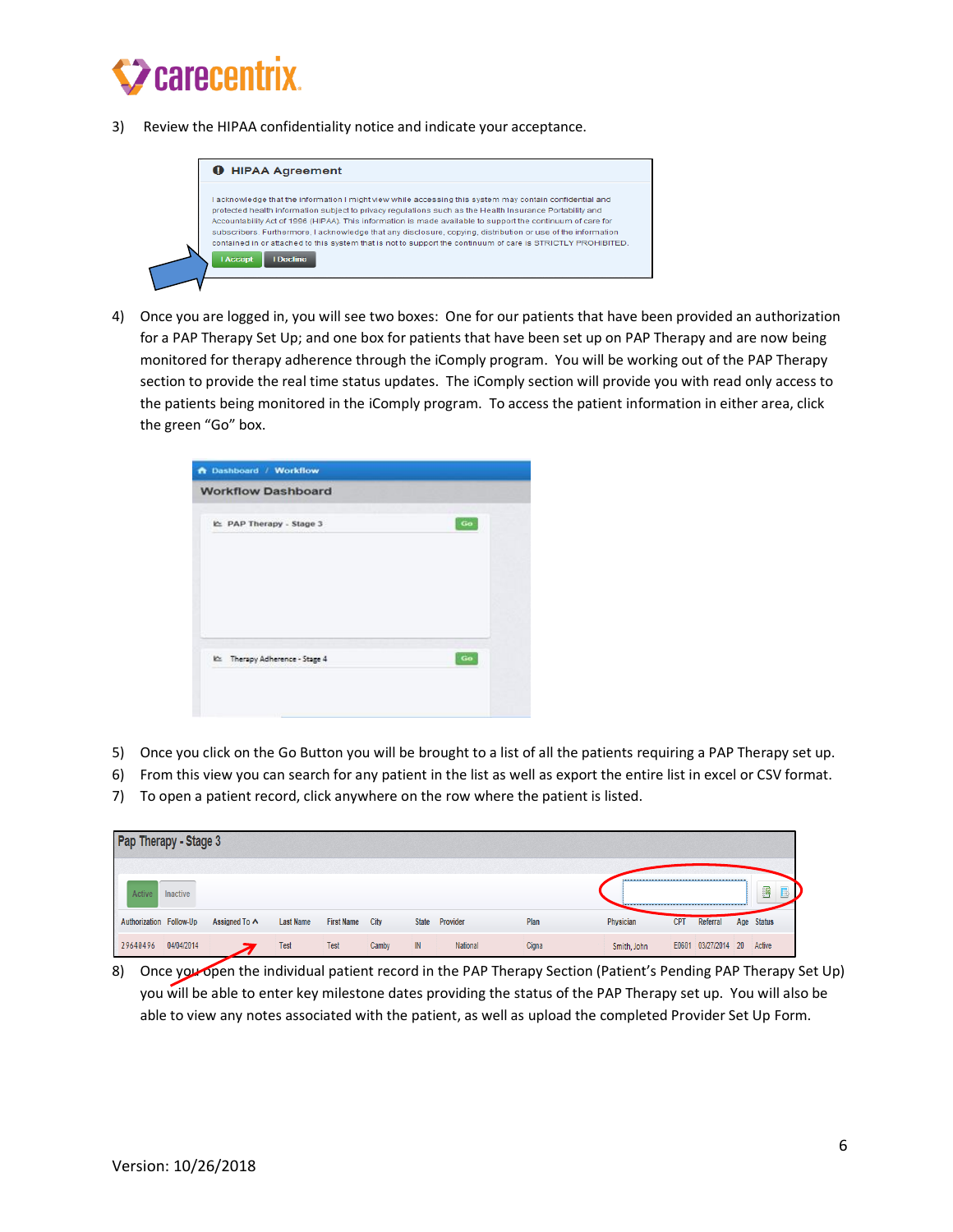

3) Review the HIPAA confidentiality notice and indicate your acceptance.



4) Once you are logged in, you will see two boxes: One for our patients that have been provided an authorization for a PAP Therapy Set Up; and one box for patients that have been set up on PAP Therapy and are now being monitored for therapy adherence through the iComply program. You will be working out of the PAP Therapy section to provide the real time status updates. The iComply section will provide you with read only access to the patients being monitored in the iComply program. To access the patient information in either area, click the green "Go" box.

| <b>Workflow Dashboard</b>       |    |
|---------------------------------|----|
|                                 |    |
| ⊵ PAP Therapy - Stage 3         | Go |
|                                 |    |
|                                 |    |
| In: Therapy Adherence - Stage 4 | Go |

- 5) Once you click on the Go Button you will be brought to a list of all the patients requiring a PAP Therapy set up.
- 6) From this view you can search for any patient in the list as well as export the entire list in excel or CSV format.
- 7) To open a patient record, click anywhere on the row where the patient is listed.

| Pap Therapy - Stage 3   |            |                     |                  |                        |       |    |                |       |             |            |                            |            |  |
|-------------------------|------------|---------------------|------------------|------------------------|-------|----|----------------|-------|-------------|------------|----------------------------|------------|--|
| Active                  | Inactive   |                     |                  |                        |       |    |                |       |             |            |                            | B          |  |
| Authorization Follow-Up |            | Assigned To $\land$ | <b>Last Name</b> | <b>First Name City</b> |       |    | State Provider | Plan  | Physician   | <b>CPT</b> | Referral                   | Age Status |  |
| 29640496                | 04/04/2014 |                     | Test             | Test                   | Camby | IN | National       | Cigna | Smith, John |            | E0601 03/27/2014 20 Active |            |  |

8) Once you open the individual patient record in the PAP Therapy Section (Patient's Pending PAP Therapy Set Up) you will be able to enter key milestone dates providing the status of the PAP Therapy set up. You will also be able to view any notes associated with the patient, as well as upload the completed Provider Set Up Form.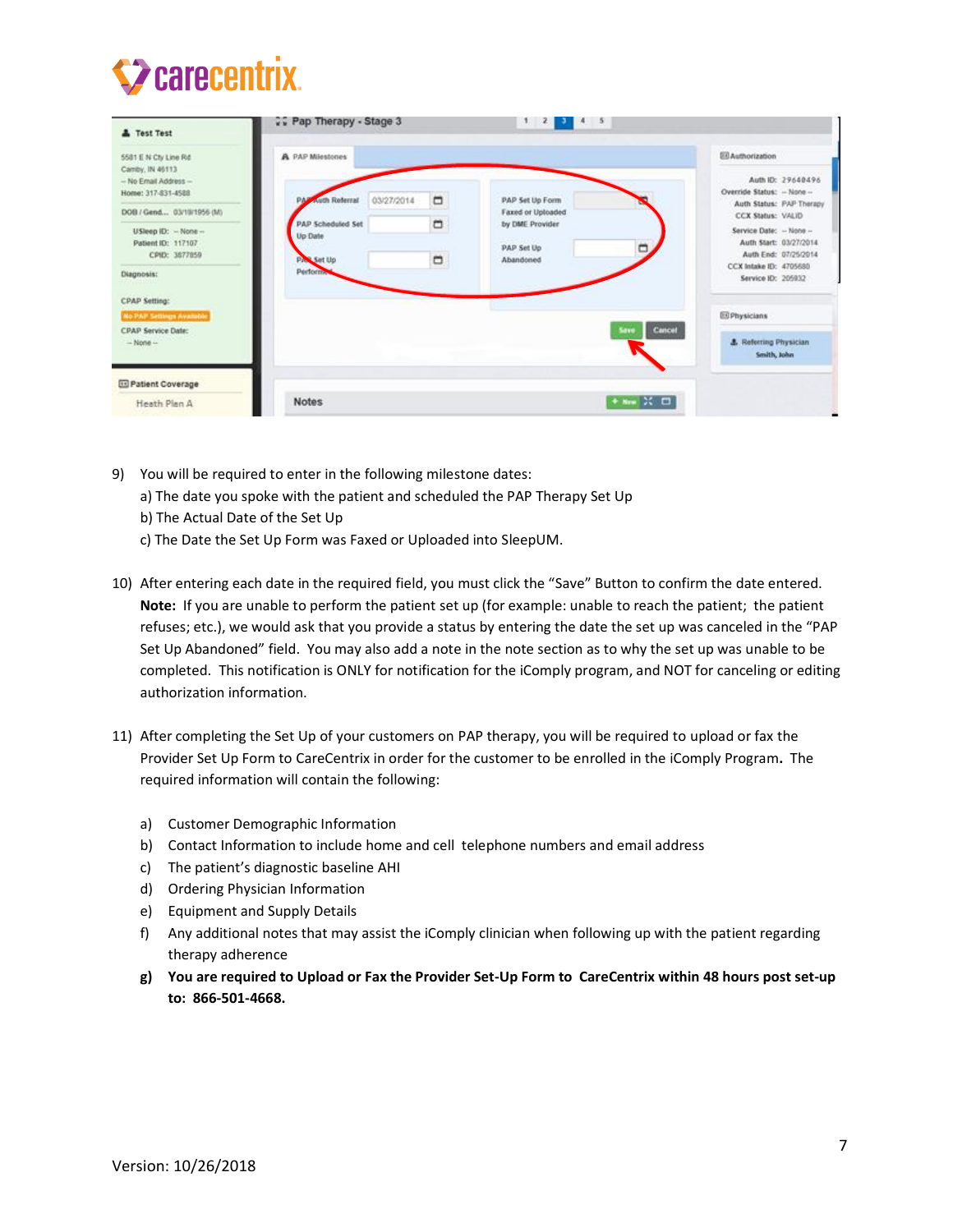

| Test Test                                                                                 | x y Pap Therapy - Stage 3           |            |                | 12745                                          |                                                                            |
|-------------------------------------------------------------------------------------------|-------------------------------------|------------|----------------|------------------------------------------------|----------------------------------------------------------------------------|
| 5581 E N Cty Line Rd<br>Camby, IN 46113<br>$-$ No Email Address $-$<br>Home: 317-831-4588 | A PAP Milestones<br>Auth Referral   | 03/27/2014 | $\blacksquare$ | <b>PAP Set Up Form</b>                         | <b>El Authorization</b><br>Auth ID: 29640496<br>Override Status: - None -- |
| DOB / Gend 03/19/1956 (M)                                                                 |                                     |            |                | Faxed or Uploaded                              | Auth Status: PAP Therapy<br><b>CCX Status: VALID</b>                       |
| USleep ID: - None --<br>Patient ID: 117107                                                | <b>PAP Scheduled Set</b><br>Up Date |            | $\overline{a}$ | by DME Provider<br>$\Box$<br><b>PAP Set Up</b> | Service Date: - None -<br>Auth Start: 03/27/2014                           |
| CPID: 3677859                                                                             | PAS Set Up                          |            | o              | Abandoned                                      | Auth End: 07/25/2014<br>CCX Intake ID: 4705680                             |
| Diagnosis:<br>7.500                                                                       | Performe                            |            |                |                                                | Service ID: 205932                                                         |
| <b>CPAP Setting:</b><br><b>No PAP Settings Available</b>                                  |                                     |            |                |                                                | <b>EDPhysicians</b>                                                        |
| <b>CPAP Service Date:</b>                                                                 |                                     |            |                | Save                                           | Cancel                                                                     |
| $-$ None $-$                                                                              |                                     |            |                |                                                | <b>&amp;</b> Referring Physician<br>Smith, John                            |
| <b>ED</b> Patient Coverage                                                                |                                     |            |                |                                                |                                                                            |
| Heath Plan A                                                                              | <b>Notes</b>                        |            |                | + New X (D)                                    |                                                                            |

- 9) You will be required to enter in the following milestone dates: a) The date you spoke with the patient and scheduled the PAP Therapy Set Up b) The Actual Date of the Set Up c) The Date the Set Up Form was Faxed or Uploaded into SleepUM.
- 10) After entering each date in the required field, you must click the "Save" Button to confirm the date entered. **Note:** If you are unable to perform the patient set up (for example: unable to reach the patient; the patient refuses; etc.), we would ask that you provide a status by entering the date the set up was canceled in the "PAP Set Up Abandoned" field. You may also add a note in the note section as to why the set up was unable to be completed. This notification is ONLY for notification for the iComply program, and NOT for canceling or editing authorization information.
- 11) After completing the Set Up of your customers on PAP therapy, you will be required to upload or fax the Provider Set Up Form to CareCentrix in order for the customer to be enrolled in the iComply Program**.** The required information will contain the following:
	- a) Customer Demographic Information
	- b) Contact Information to include home and cell telephone numbers and email address
	- c) The patient's diagnostic baseline AHI
	- d) Ordering Physician Information
	- e) Equipment and Supply Details
	- f) Any additional notes that may assist the iComply clinician when following up with the patient regarding therapy adherence
	- **g) You are required to Upload or Fax the Provider Set-Up Form to CareCentrix within 48 hours post set-up to: 866-501-4668.**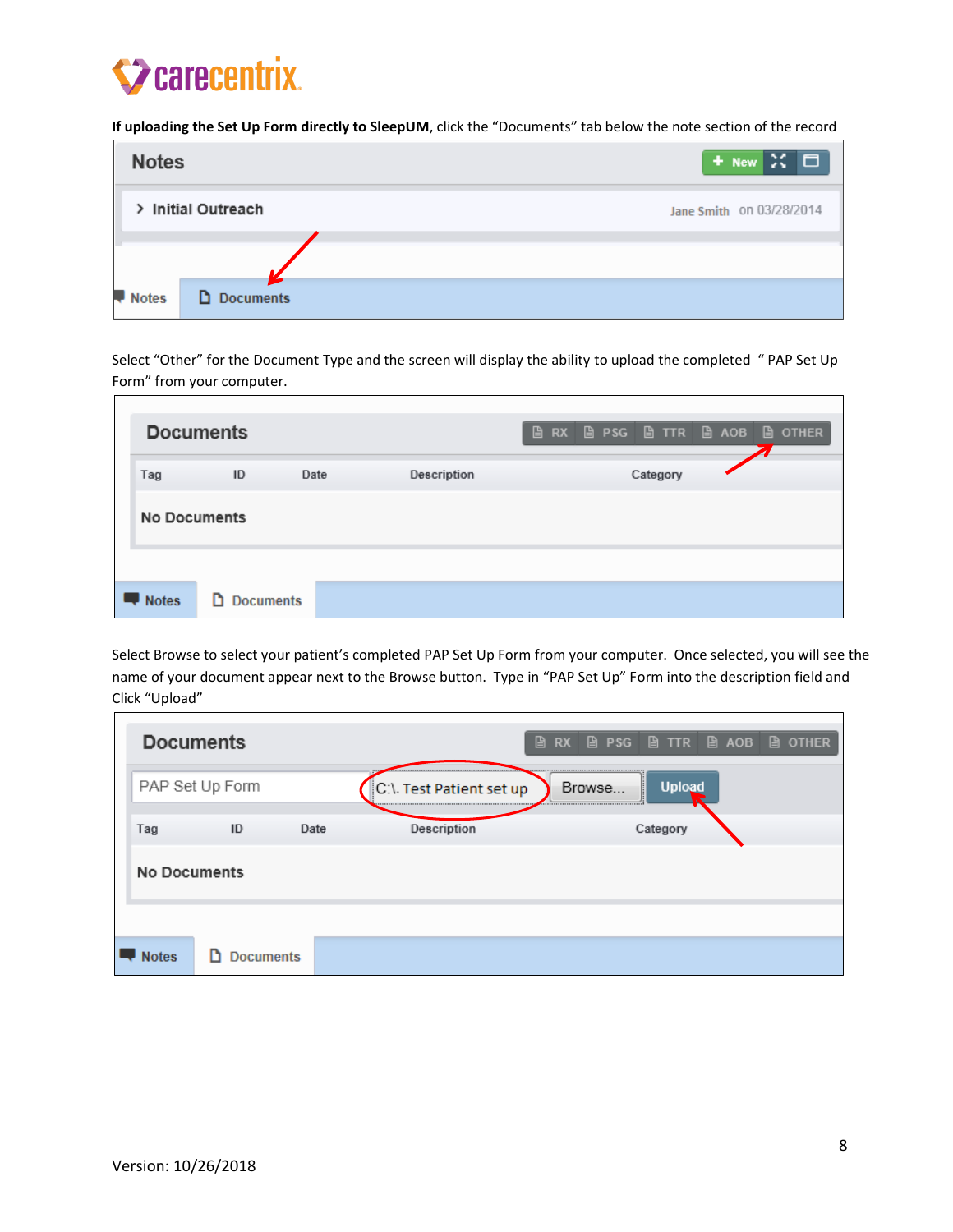# **Z** carecentrix.

**If uploading the Set Up Form directly to SleepUM**, click the "Documents" tab below the note section of the record

| <b>Notes</b>         | + New X O                |
|----------------------|--------------------------|
| > Initial Outreach   | Jane Smith on 03/28/2014 |
|                      |                          |
| D Documents<br>Notes |                          |

Select "Other" for the Document Type and the screen will display the ability to upload the completed " PAP Set Up Form" from your computer.

|                     | <b>Documents</b>      |      |             | <b>ARX ARS ARTICA ADB ARD DOTHER</b> |
|---------------------|-----------------------|------|-------------|--------------------------------------|
| Tag                 | ID                    | Date | Description | Category                             |
| <b>No Documents</b> |                       |      |             |                                      |
|                     |                       |      |             |                                      |
| <b>Notes</b>        | <b>Documents</b><br>n |      |             |                                      |

Select Browse to select your patient's completed PAP Set Up Form from your computer. Once selected, you will see the name of your document appear next to the Browse button. Type in "PAP Set Up" Form into the description field and Click "Upload"

|              | <b>Documents</b>    |      |                                  | <b>ARX AR PSG ARTIR AROB ARTIER</b> |                    |  |
|--------------|---------------------|------|----------------------------------|-------------------------------------|--------------------|--|
|              | PAP Set Up Form     |      | <br>C:\. Test Patient set up<br> | Browse                              | <b>Upload</b><br>H |  |
| Tag          | ID                  | Date | Description                      |                                     | Category           |  |
|              | <b>No Documents</b> |      |                                  |                                     |                    |  |
|              |                     |      |                                  |                                     |                    |  |
| <b>Notes</b> | <b>D</b> Documents  |      |                                  |                                     |                    |  |

 $\overline{\mathsf{I}}$